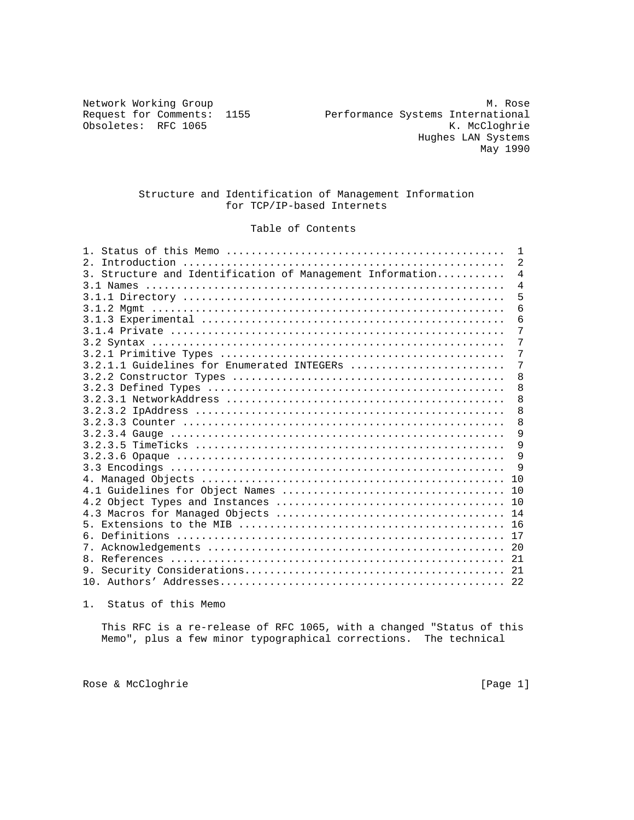Obsoletes: RFC 1065

Network Working Group Methods and Methods Methods Methods Methods Methods Methods Methods Methods Methods Methods Methods Methods Methods Methods Methods Methods Methods Methods Methods Methods Methods Methods Methods Meth Request for Comments: 1155 Performance Systems International<br>Obsoletes: RFC 1065 RECOUNTIE Hughes LAN Systems May 1990

### Structure and Identification of Management Information for TCP/IP-based Internets

# Table of Contents

|                                                           | $\mathbf{1}$   |
|-----------------------------------------------------------|----------------|
| $2^{\circ}$                                               | 2              |
| 3. Structure and Identification of Management Information | $\overline{4}$ |
|                                                           | $\overline{4}$ |
|                                                           | 5              |
|                                                           | 6              |
|                                                           | 6              |
|                                                           | 7              |
|                                                           | 7              |
|                                                           | 7              |
| 3.2.1.1 Guidelines for Enumerated INTEGERs                | 7              |
|                                                           | 8              |
|                                                           | 8              |
|                                                           | 8              |
|                                                           | 8              |
|                                                           | 8              |
|                                                           | 9              |
|                                                           | 9              |
|                                                           | 9              |
|                                                           | 9              |
|                                                           | 10             |
|                                                           | 10             |
|                                                           | 10             |
|                                                           |                |
|                                                           |                |
| ნ.                                                        |                |
|                                                           | 20             |
| 8 <sub>1</sub>                                            |                |
|                                                           |                |
|                                                           |                |

1. Status of this Memo

 This RFC is a re-release of RFC 1065, with a changed "Status of this Memo", plus a few minor typographical corrections. The technical

Rose & McCloghrie [Page 1]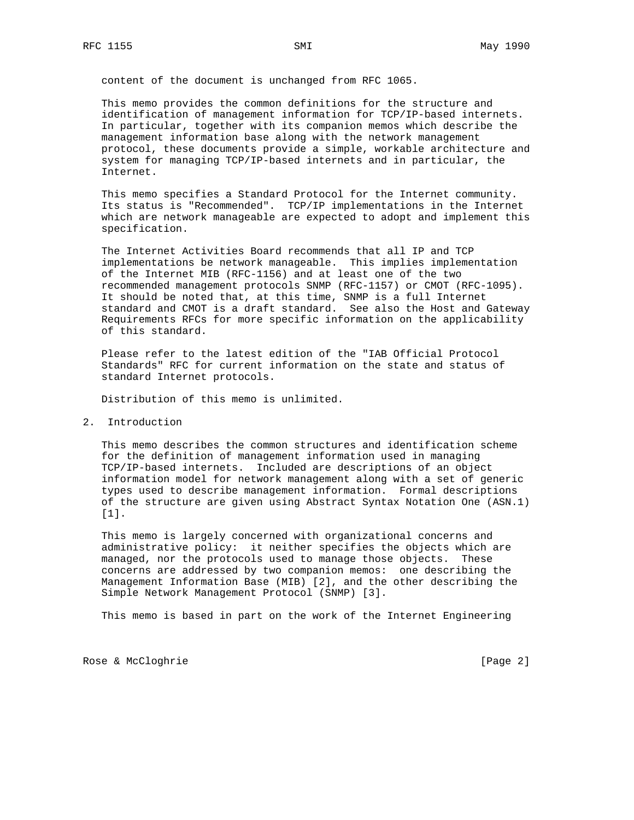content of the document is unchanged from RFC 1065.

 This memo provides the common definitions for the structure and identification of management information for TCP/IP-based internets. In particular, together with its companion memos which describe the management information base along with the network management protocol, these documents provide a simple, workable architecture and system for managing TCP/IP-based internets and in particular, the Internet.

 This memo specifies a Standard Protocol for the Internet community. Its status is "Recommended". TCP/IP implementations in the Internet which are network manageable are expected to adopt and implement this specification.

 The Internet Activities Board recommends that all IP and TCP implementations be network manageable. This implies implementation of the Internet MIB (RFC-1156) and at least one of the two recommended management protocols SNMP (RFC-1157) or CMOT (RFC-1095). It should be noted that, at this time, SNMP is a full Internet standard and CMOT is a draft standard. See also the Host and Gateway Requirements RFCs for more specific information on the applicability of this standard.

 Please refer to the latest edition of the "IAB Official Protocol Standards" RFC for current information on the state and status of standard Internet protocols.

Distribution of this memo is unlimited.

2. Introduction

 This memo describes the common structures and identification scheme for the definition of management information used in managing TCP/IP-based internets. Included are descriptions of an object information model for network management along with a set of generic types used to describe management information. Formal descriptions of the structure are given using Abstract Syntax Notation One (ASN.1) [1].

 This memo is largely concerned with organizational concerns and administrative policy: it neither specifies the objects which are managed, nor the protocols used to manage those objects. These concerns are addressed by two companion memos: one describing the Management Information Base (MIB) [2], and the other describing the Simple Network Management Protocol (SNMP) [3].

This memo is based in part on the work of the Internet Engineering

Rose & McCloghrie [Page 2]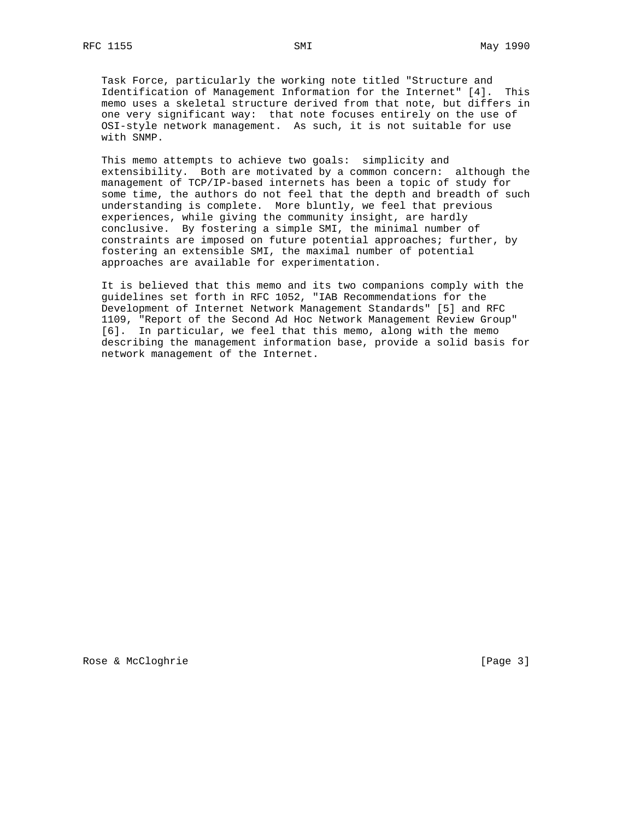Task Force, particularly the working note titled "Structure and Identification of Management Information for the Internet" [4]. This memo uses a skeletal structure derived from that note, but differs in one very significant way: that note focuses entirely on the use of OSI-style network management. As such, it is not suitable for use with SNMP.

 This memo attempts to achieve two goals: simplicity and extensibility. Both are motivated by a common concern: although the management of TCP/IP-based internets has been a topic of study for some time, the authors do not feel that the depth and breadth of such understanding is complete. More bluntly, we feel that previous experiences, while giving the community insight, are hardly conclusive. By fostering a simple SMI, the minimal number of constraints are imposed on future potential approaches; further, by fostering an extensible SMI, the maximal number of potential approaches are available for experimentation.

 It is believed that this memo and its two companions comply with the guidelines set forth in RFC 1052, "IAB Recommendations for the Development of Internet Network Management Standards" [5] and RFC 1109, "Report of the Second Ad Hoc Network Management Review Group" [6]. In particular, we feel that this memo, along with the memo describing the management information base, provide a solid basis for network management of the Internet.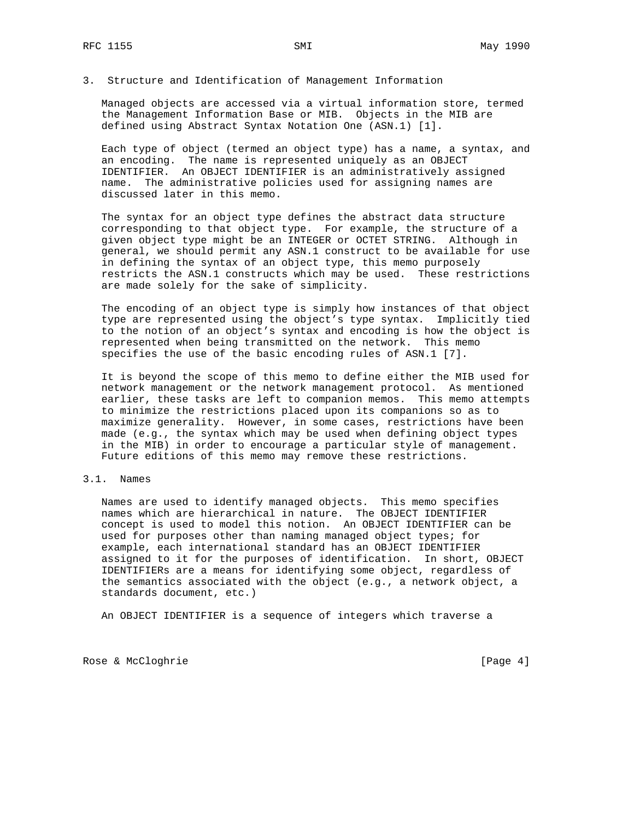3. Structure and Identification of Management Information

 Managed objects are accessed via a virtual information store, termed the Management Information Base or MIB. Objects in the MIB are defined using Abstract Syntax Notation One (ASN.1) [1].

 Each type of object (termed an object type) has a name, a syntax, and an encoding. The name is represented uniquely as an OBJECT IDENTIFIER. An OBJECT IDENTIFIER is an administratively assigned name. The administrative policies used for assigning names are discussed later in this memo.

 The syntax for an object type defines the abstract data structure corresponding to that object type. For example, the structure of a given object type might be an INTEGER or OCTET STRING. Although in general, we should permit any ASN.1 construct to be available for use in defining the syntax of an object type, this memo purposely restricts the ASN.1 constructs which may be used. These restrictions are made solely for the sake of simplicity.

 The encoding of an object type is simply how instances of that object type are represented using the object's type syntax. Implicitly tied to the notion of an object's syntax and encoding is how the object is represented when being transmitted on the network. This memo specifies the use of the basic encoding rules of ASN.1 [7].

 It is beyond the scope of this memo to define either the MIB used for network management or the network management protocol. As mentioned earlier, these tasks are left to companion memos. This memo attempts to minimize the restrictions placed upon its companions so as to maximize generality. However, in some cases, restrictions have been made (e.g., the syntax which may be used when defining object types in the MIB) in order to encourage a particular style of management. Future editions of this memo may remove these restrictions.

### 3.1. Names

 Names are used to identify managed objects. This memo specifies names which are hierarchical in nature. The OBJECT IDENTIFIER concept is used to model this notion. An OBJECT IDENTIFIER can be used for purposes other than naming managed object types; for example, each international standard has an OBJECT IDENTIFIER assigned to it for the purposes of identification. In short, OBJECT IDENTIFIERs are a means for identifying some object, regardless of the semantics associated with the object (e.g., a network object, a standards document, etc.)

An OBJECT IDENTIFIER is a sequence of integers which traverse a

Rose & McCloghrie [Page 4]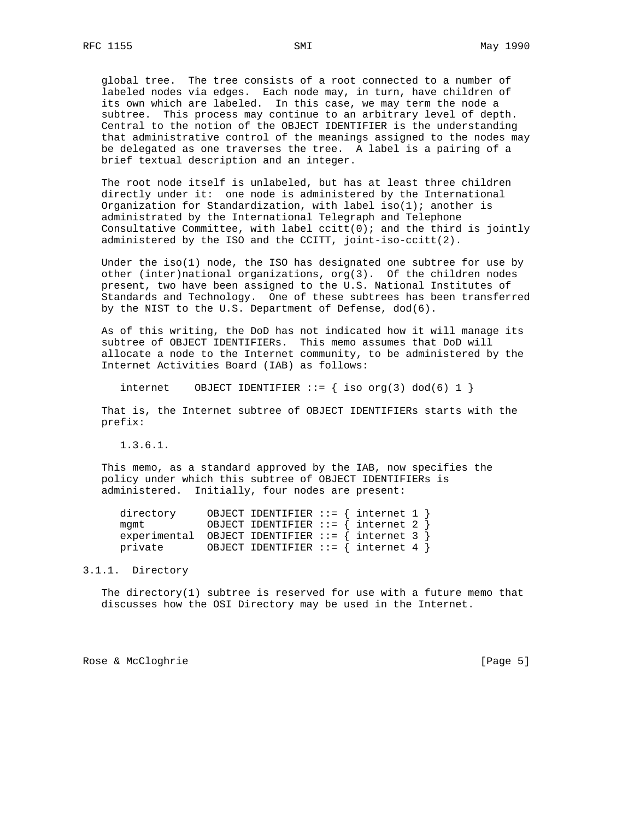global tree. The tree consists of a root connected to a number of labeled nodes via edges. Each node may, in turn, have children of its own which are labeled. In this case, we may term the node a subtree. This process may continue to an arbitrary level of depth. Central to the notion of the OBJECT IDENTIFIER is the understanding that administrative control of the meanings assigned to the nodes may be delegated as one traverses the tree. A label is a pairing of a brief textual description and an integer.

 The root node itself is unlabeled, but has at least three children directly under it: one node is administered by the International Organization for Standardization, with label iso(1); another is administrated by the International Telegraph and Telephone Consultative Committee, with label  $\text{critt}(0)$ ; and the third is jointly administered by the ISO and the CCITT, joint-iso-ccitt(2).

 Under the iso(1) node, the ISO has designated one subtree for use by other (inter)national organizations, org(3). Of the children nodes present, two have been assigned to the U.S. National Institutes of Standards and Technology. One of these subtrees has been transferred by the NIST to the U.S. Department of Defense, dod(6).

 As of this writing, the DoD has not indicated how it will manage its subtree of OBJECT IDENTIFIERs. This memo assumes that DoD will allocate a node to the Internet community, to be administered by the Internet Activities Board (IAB) as follows:

internet OBJECT IDENTIFIER  $::= \{ \text{ iso org(3) dod(6) 1 } \}$ 

 That is, the Internet subtree of OBJECT IDENTIFIERs starts with the prefix:

1.3.6.1.

 This memo, as a standard approved by the IAB, now specifies the policy under which this subtree of OBJECT IDENTIFIERs is administered. Initially, four nodes are present:

| directory | OBJECT IDENTIFIER ::= $\{$ internet 1 $\}$              |  |
|-----------|---------------------------------------------------------|--|
| mamt      | OBJECT IDENTIFIER ::= $\{$ internet 2 $\}$              |  |
|           | experimental OBJECT IDENTIFIER ::= $\{$ internet 3 $\}$ |  |
| private   | OBJECT IDENTIFIER ::= $\{$ internet 4 $\}$              |  |

#### 3.1.1. Directory

 The directory(1) subtree is reserved for use with a future memo that discusses how the OSI Directory may be used in the Internet.

Rose & McCloghrie **Example 2018** [Page 5]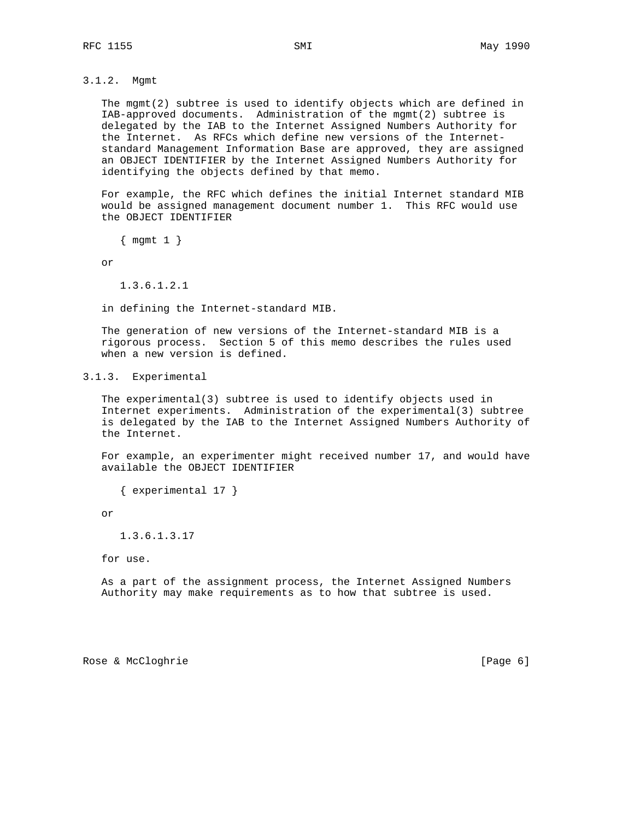3.1.2. Mgmt

 The mgmt(2) subtree is used to identify objects which are defined in IAB-approved documents. Administration of the mgmt(2) subtree is delegated by the IAB to the Internet Assigned Numbers Authority for the Internet. As RFCs which define new versions of the Internet standard Management Information Base are approved, they are assigned an OBJECT IDENTIFIER by the Internet Assigned Numbers Authority for identifying the objects defined by that memo.

 For example, the RFC which defines the initial Internet standard MIB would be assigned management document number 1. This RFC would use the OBJECT IDENTIFIER

{ mgmt 1 }

or

1.3.6.1.2.1

in defining the Internet-standard MIB.

 The generation of new versions of the Internet-standard MIB is a rigorous process. Section 5 of this memo describes the rules used when a new version is defined.

3.1.3. Experimental

 The experimental(3) subtree is used to identify objects used in Internet experiments. Administration of the experimental(3) subtree is delegated by the IAB to the Internet Assigned Numbers Authority of the Internet.

 For example, an experimenter might received number 17, and would have available the OBJECT IDENTIFIER

{ experimental 17 }

or

1.3.6.1.3.17

for use.

 As a part of the assignment process, the Internet Assigned Numbers Authority may make requirements as to how that subtree is used.

Rose & McCloghrie [Page 6]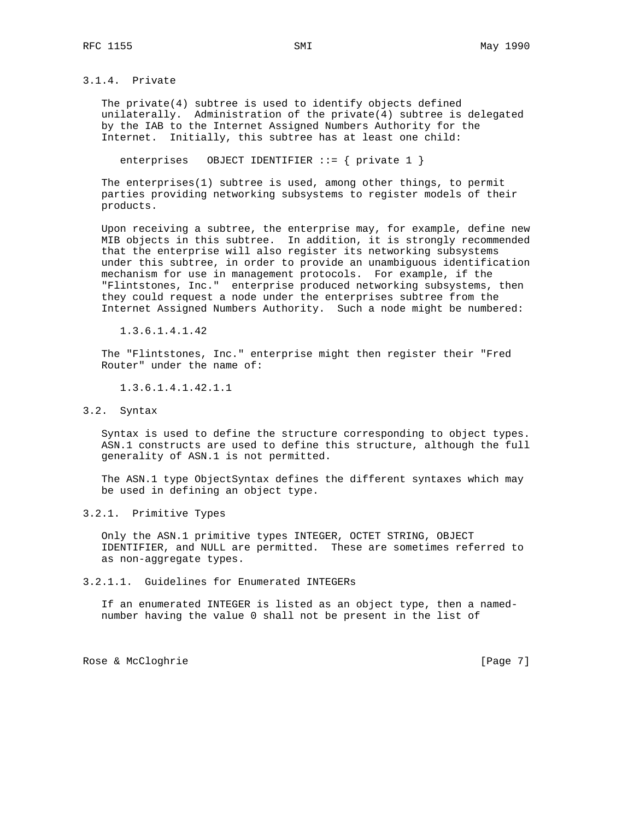3.1.4. Private

 The private(4) subtree is used to identify objects defined unilaterally. Administration of the private(4) subtree is delegated by the IAB to the Internet Assigned Numbers Authority for the Internet. Initially, this subtree has at least one child:

enterprises OBJECT IDENTIFIER  $::= \{$  private 1  $\}$ 

 The enterprises(1) subtree is used, among other things, to permit parties providing networking subsystems to register models of their products.

 Upon receiving a subtree, the enterprise may, for example, define new MIB objects in this subtree. In addition, it is strongly recommended that the enterprise will also register its networking subsystems under this subtree, in order to provide an unambiguous identification mechanism for use in management protocols. For example, if the "Flintstones, Inc." enterprise produced networking subsystems, then they could request a node under the enterprises subtree from the Internet Assigned Numbers Authority. Such a node might be numbered:

1.3.6.1.4.1.42

 The "Flintstones, Inc." enterprise might then register their "Fred Router" under the name of:

1.3.6.1.4.1.42.1.1

3.2. Syntax

 Syntax is used to define the structure corresponding to object types. ASN.1 constructs are used to define this structure, although the full generality of ASN.1 is not permitted.

 The ASN.1 type ObjectSyntax defines the different syntaxes which may be used in defining an object type.

3.2.1. Primitive Types

 Only the ASN.1 primitive types INTEGER, OCTET STRING, OBJECT IDENTIFIER, and NULL are permitted. These are sometimes referred to as non-aggregate types.

3.2.1.1. Guidelines for Enumerated INTEGERs

 If an enumerated INTEGER is listed as an object type, then a named number having the value 0 shall not be present in the list of

Rose & McCloghrie [Page 7]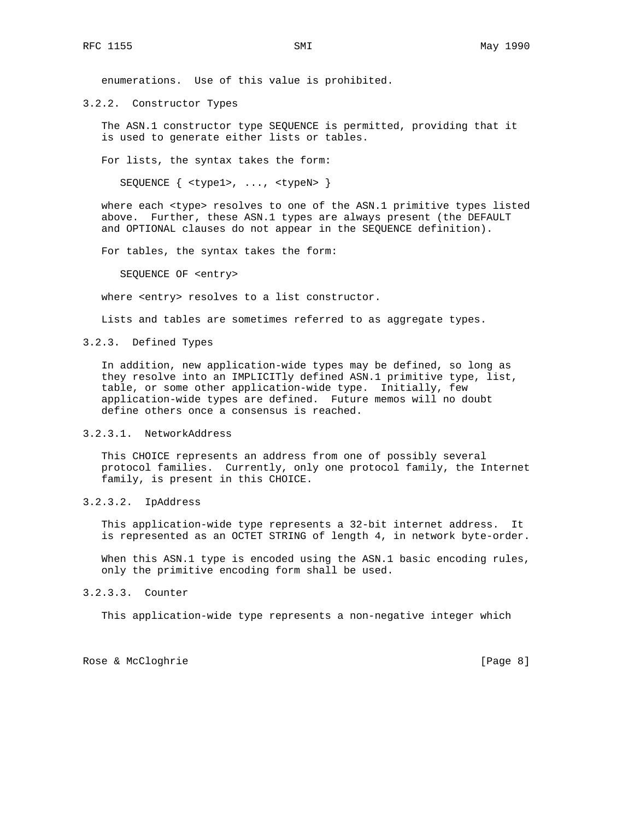enumerations. Use of this value is prohibited.

3.2.2. Constructor Types

 The ASN.1 constructor type SEQUENCE is permitted, providing that it is used to generate either lists or tables.

For lists, the syntax takes the form:

SEQUENCE { <type1>, ..., <typeN> }

where each <type> resolves to one of the ASN.1 primitive types listed above. Further, these ASN.1 types are always present (the DEFAULT and OPTIONAL clauses do not appear in the SEQUENCE definition).

For tables, the syntax takes the form:

SEQUENCE OF <entry>

where <entry> resolves to a list constructor.

Lists and tables are sometimes referred to as aggregate types.

### 3.2.3. Defined Types

 In addition, new application-wide types may be defined, so long as they resolve into an IMPLICITly defined ASN.1 primitive type, list, table, or some other application-wide type. Initially, few application-wide types are defined. Future memos will no doubt define others once a consensus is reached.

#### 3.2.3.1. NetworkAddress

 This CHOICE represents an address from one of possibly several protocol families. Currently, only one protocol family, the Internet family, is present in this CHOICE.

## 3.2.3.2. IpAddress

 This application-wide type represents a 32-bit internet address. It is represented as an OCTET STRING of length 4, in network byte-order.

 When this ASN.1 type is encoded using the ASN.1 basic encoding rules, only the primitive encoding form shall be used.

#### 3.2.3.3. Counter

This application-wide type represents a non-negative integer which

Rose & McCloghrie [Page 8]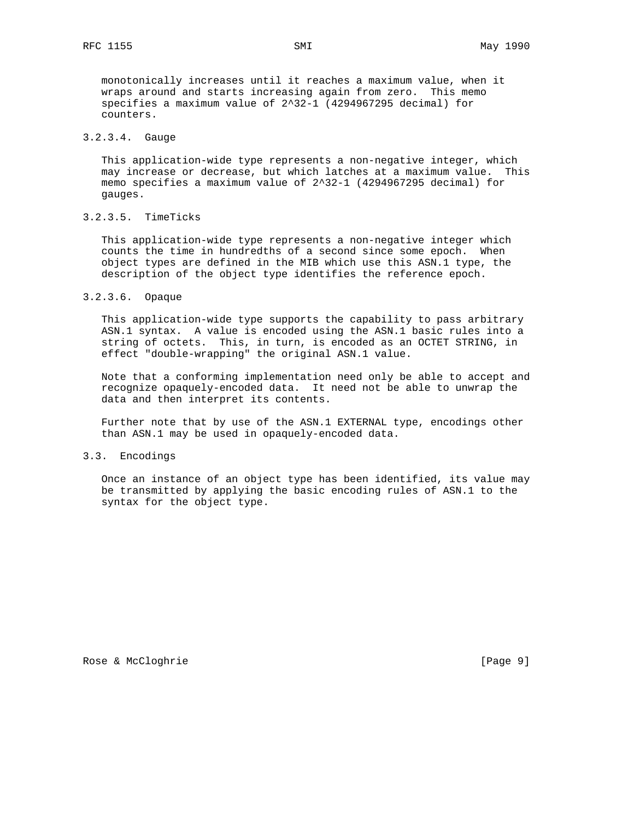monotonically increases until it reaches a maximum value, when it wraps around and starts increasing again from zero. This memo specifies a maximum value of 2^32-1 (4294967295 decimal) for counters.

## 3.2.3.4. Gauge

 This application-wide type represents a non-negative integer, which may increase or decrease, but which latches at a maximum value. This memo specifies a maximum value of 2^32-1 (4294967295 decimal) for gauges.

#### 3.2.3.5. TimeTicks

 This application-wide type represents a non-negative integer which counts the time in hundredths of a second since some epoch. When object types are defined in the MIB which use this ASN.1 type, the description of the object type identifies the reference epoch.

#### 3.2.3.6. Opaque

 This application-wide type supports the capability to pass arbitrary ASN.1 syntax. A value is encoded using the ASN.1 basic rules into a string of octets. This, in turn, is encoded as an OCTET STRING, in effect "double-wrapping" the original ASN.1 value.

 Note that a conforming implementation need only be able to accept and recognize opaquely-encoded data. It need not be able to unwrap the data and then interpret its contents.

 Further note that by use of the ASN.1 EXTERNAL type, encodings other than ASN.1 may be used in opaquely-encoded data.

### 3.3. Encodings

 Once an instance of an object type has been identified, its value may be transmitted by applying the basic encoding rules of ASN.1 to the syntax for the object type.

Rose & McCloghrie [Page 9]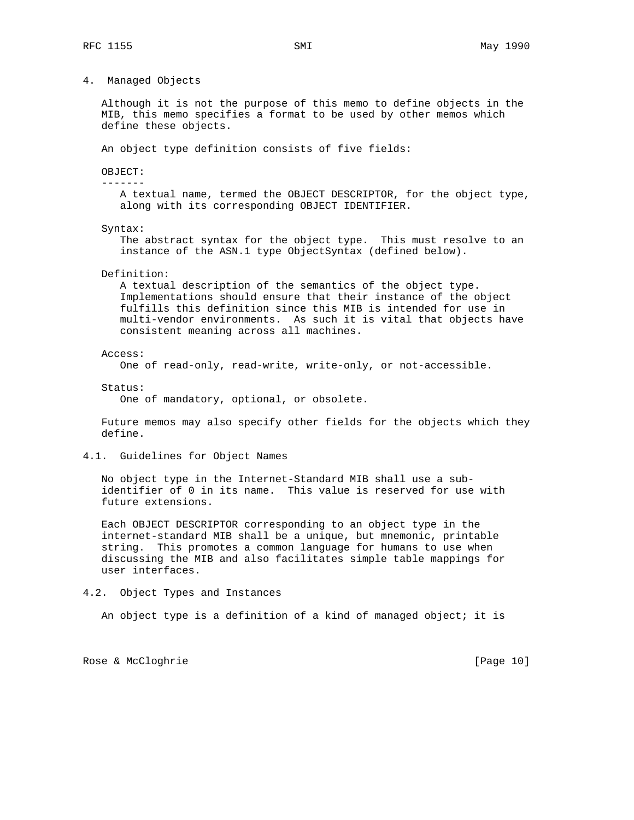4. Managed Objects

 Although it is not the purpose of this memo to define objects in the MIB, this memo specifies a format to be used by other memos which define these objects.

An object type definition consists of five fields:

OBJECT:

-------

 A textual name, termed the OBJECT DESCRIPTOR, for the object type, along with its corresponding OBJECT IDENTIFIER.

Syntax:

 The abstract syntax for the object type. This must resolve to an instance of the ASN.1 type ObjectSyntax (defined below).

#### Definition:

 A textual description of the semantics of the object type. Implementations should ensure that their instance of the object fulfills this definition since this MIB is intended for use in multi-vendor environments. As such it is vital that objects have consistent meaning across all machines.

Access:

One of read-only, read-write, write-only, or not-accessible.

Status:

One of mandatory, optional, or obsolete.

 Future memos may also specify other fields for the objects which they define.

4.1. Guidelines for Object Names

 No object type in the Internet-Standard MIB shall use a sub identifier of 0 in its name. This value is reserved for use with future extensions.

 Each OBJECT DESCRIPTOR corresponding to an object type in the internet-standard MIB shall be a unique, but mnemonic, printable string. This promotes a common language for humans to use when discussing the MIB and also facilitates simple table mappings for user interfaces.

### 4.2. Object Types and Instances

An object type is a definition of a kind of managed object; it is

Rose & McCloghrie [Page 10]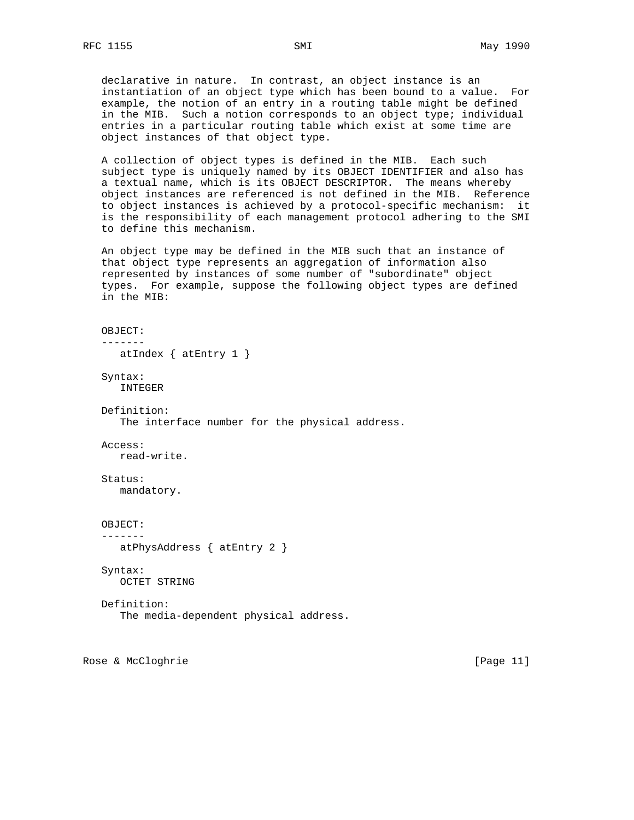declarative in nature. In contrast, an object instance is an instantiation of an object type which has been bound to a value. For example, the notion of an entry in a routing table might be defined in the MIB. Such a notion corresponds to an object type; individual entries in a particular routing table which exist at some time are object instances of that object type.

 A collection of object types is defined in the MIB. Each such subject type is uniquely named by its OBJECT IDENTIFIER and also has a textual name, which is its OBJECT DESCRIPTOR. The means whereby object instances are referenced is not defined in the MIB. Reference to object instances is achieved by a protocol-specific mechanism: it is the responsibility of each management protocol adhering to the SMI to define this mechanism.

 An object type may be defined in the MIB such that an instance of that object type represents an aggregation of information also represented by instances of some number of "subordinate" object types. For example, suppose the following object types are defined in the MIB:

 OBJECT: ------ atIndex { atEntry 1 } Syntax: INTEGER Definition: The interface number for the physical address. Access: read-write. Status: mandatory. OBJECT: ------ atPhysAddress { atEntry 2 } Syntax: OCTET STRING Definition: The media-dependent physical address.

Rose & McCloghrie [Page 11]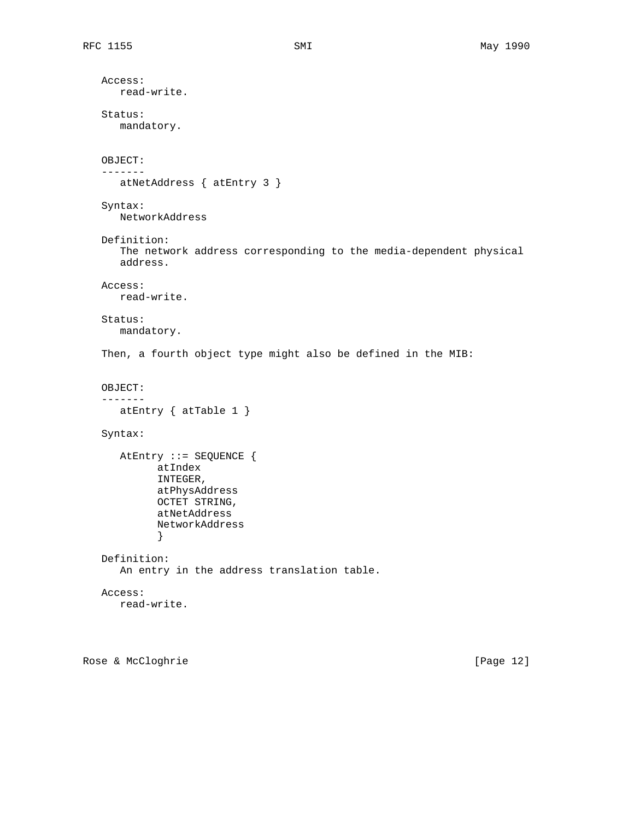```
 Access:
     read-write.
  Status:
     mandatory.
  OBJECT:
  -------
     atNetAddress { atEntry 3 }
  Syntax:
     NetworkAddress
  Definition:
     The network address corresponding to the media-dependent physical
     address.
  Access:
     read-write.
  Status:
     mandatory.
  Then, a fourth object type might also be defined in the MIB:
  OBJECT:
  -------
     atEntry { atTable 1 }
  Syntax:
     AtEntry ::= SEQUENCE {
            atIndex
            INTEGER,
            atPhysAddress
            OCTET STRING,
            atNetAddress
            NetworkAddress
}
  Definition:
     An entry in the address translation table.
  Access:
     read-write.
```
Rose & McCloghrie [Page 12]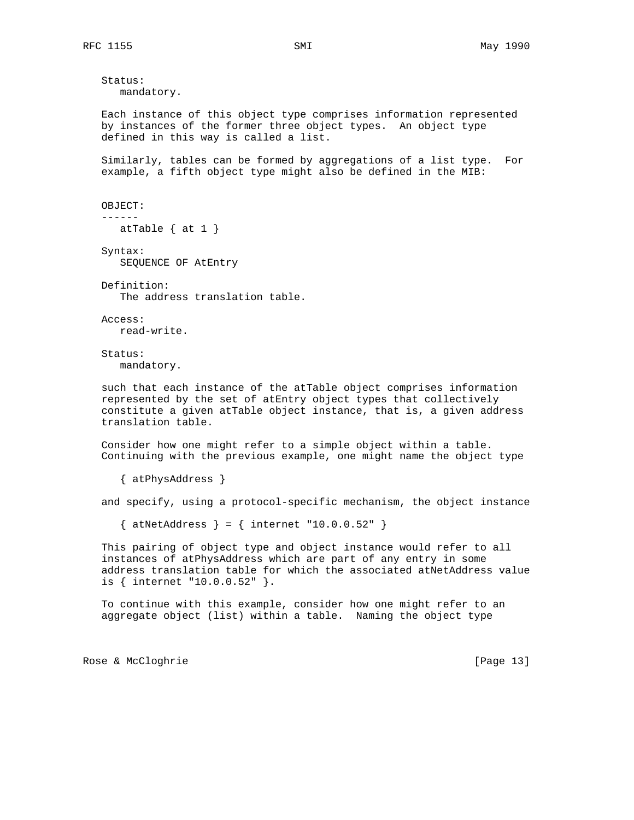Status: mandatory.

 Each instance of this object type comprises information represented by instances of the former three object types. An object type defined in this way is called a list.

 Similarly, tables can be formed by aggregations of a list type. For example, a fifth object type might also be defined in the MIB:

```
 OBJECT:
------
  atTable \{ at 1 \}
```
 Syntax: SEQUENCE OF AtEntry

 Definition: The address translation table.

 Access: read-write.

 Status: mandatory.

 such that each instance of the atTable object comprises information represented by the set of atEntry object types that collectively constitute a given atTable object instance, that is, a given address translation table.

 Consider how one might refer to a simple object within a table. Continuing with the previous example, one might name the object type

{ atPhysAddress }

and specify, using a protocol-specific mechanism, the object instance

 $\{$  atNetAddress  $\} = \{$  internet "10.0.0.52"  $\}$ 

 This pairing of object type and object instance would refer to all instances of atPhysAddress which are part of any entry in some address translation table for which the associated atNetAddress value is { internet "10.0.0.52" }.

 To continue with this example, consider how one might refer to an aggregate object (list) within a table. Naming the object type

Rose & McCloghrie [Page 13]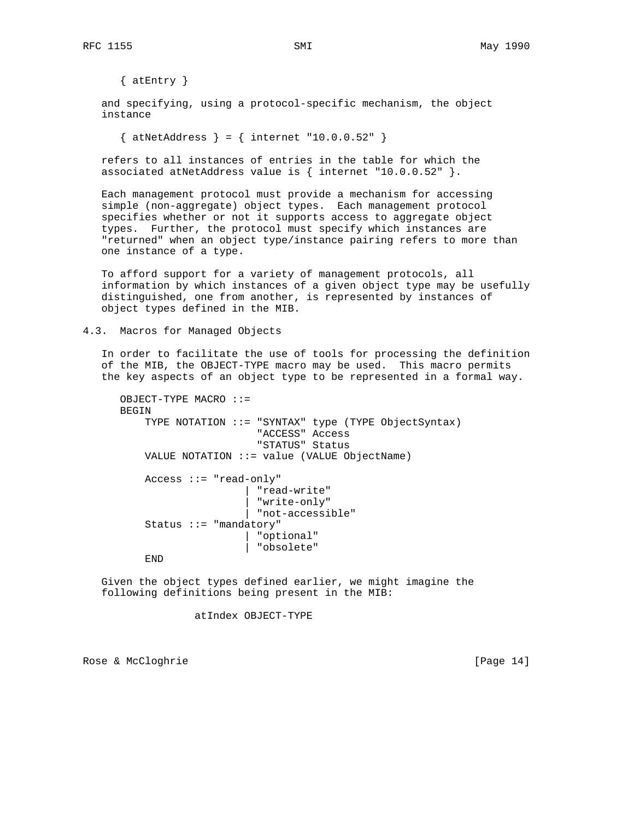{ atEntry }

 and specifying, using a protocol-specific mechanism, the object instance

 $\{$  atNetAddress  $\} = \{$  internet "10.0.0.52"  $\}$ 

 refers to all instances of entries in the table for which the associated atNetAddress value is  $\{$  internet "10.0.0.52"  $\}.$ 

 Each management protocol must provide a mechanism for accessing simple (non-aggregate) object types. Each management protocol specifies whether or not it supports access to aggregate object types. Further, the protocol must specify which instances are "returned" when an object type/instance pairing refers to more than one instance of a type.

 To afford support for a variety of management protocols, all information by which instances of a given object type may be usefully distinguished, one from another, is represented by instances of object types defined in the MIB.

4.3. Macros for Managed Objects

 In order to facilitate the use of tools for processing the definition of the MIB, the OBJECT-TYPE macro may be used. This macro permits the key aspects of an object type to be represented in a formal way.

```
 OBJECT-TYPE MACRO ::=
BEGIN
    TYPE NOTATION ::= "SYNTAX" type (TYPE ObjectSyntax)
                        "ACCESS" Access
                        "STATUS" Status
    VALUE NOTATION ::= value (VALUE ObjectName)
    Access ::= "read-only"
                      | "read-write"
                       | "write-only"
                       | "not-accessible"
    Status ::= "mandatory"
                        | "optional"
                        | "obsolete"
    END
```
 Given the object types defined earlier, we might imagine the following definitions being present in the MIB:

atIndex OBJECT-TYPE

Rose & McCloghrie [Page 14]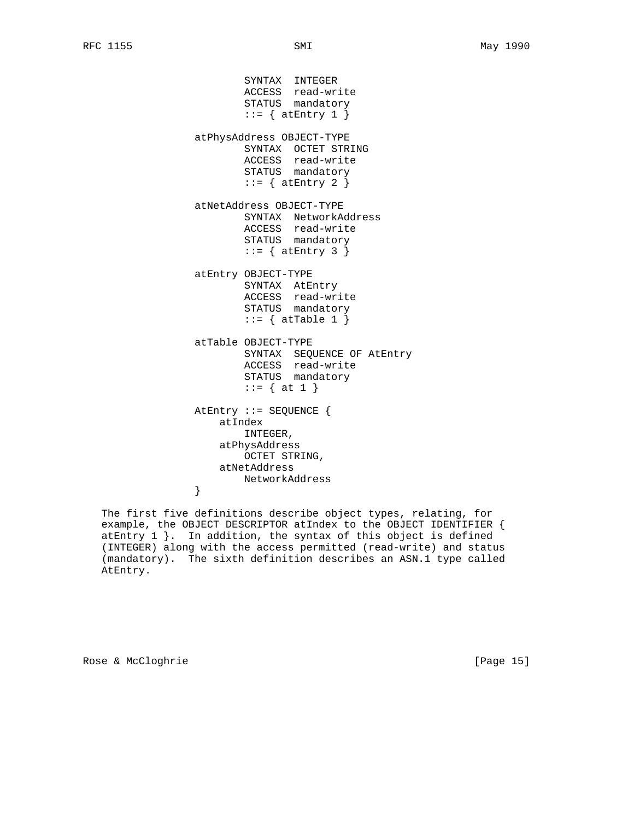SYNTAX INTEGER ACCESS read-write STATUS mandatory  $::=$  { at Entry 1 } atPhysAddress OBJECT-TYPE SYNTAX OCTET STRING ACCESS read-write STATUS mandatory  $::=$  { at Entry 2 } atNetAddress OBJECT-TYPE SYNTAX NetworkAddress ACCESS read-write STATUS mandatory  $::=$  { at Entry 3 } atEntry OBJECT-TYPE SYNTAX AtEntry ACCESS read-write STATUS mandatory  $::=$  { atTable 1 } atTable OBJECT-TYPE SYNTAX SEQUENCE OF AtEntry ACCESS read-write STATUS mandatory ::= { at 1 } AtEntry ::= SEQUENCE { atIndex INTEGER, atPhysAddress OCTET STRING, atNetAddress NetworkAddress<br>} }

 The first five definitions describe object types, relating, for example, the OBJECT DESCRIPTOR atIndex to the OBJECT IDENTIFIER { atEntry 1 }. In addition, the syntax of this object is defined (INTEGER) along with the access permitted (read-write) and status (mandatory). The sixth definition describes an ASN.1 type called AtEntry.

Rose & McCloghrie [Page 15]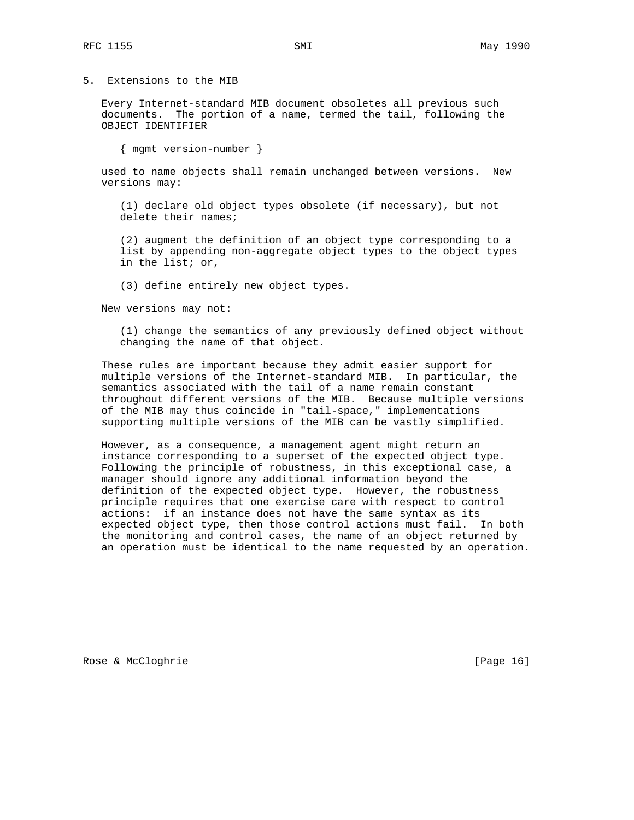5. Extensions to the MIB

 Every Internet-standard MIB document obsoletes all previous such documents. The portion of a name, termed the tail, following the OBJECT IDENTIFIER

{ mgmt version-number }

 used to name objects shall remain unchanged between versions. New versions may:

 (1) declare old object types obsolete (if necessary), but not delete their names;

 (2) augment the definition of an object type corresponding to a list by appending non-aggregate object types to the object types in the list; or,

(3) define entirely new object types.

New versions may not:

 (1) change the semantics of any previously defined object without changing the name of that object.

 These rules are important because they admit easier support for multiple versions of the Internet-standard MIB. In particular, the semantics associated with the tail of a name remain constant throughout different versions of the MIB. Because multiple versions of the MIB may thus coincide in "tail-space," implementations supporting multiple versions of the MIB can be vastly simplified.

 However, as a consequence, a management agent might return an instance corresponding to a superset of the expected object type. Following the principle of robustness, in this exceptional case, a manager should ignore any additional information beyond the definition of the expected object type. However, the robustness principle requires that one exercise care with respect to control actions: if an instance does not have the same syntax as its expected object type, then those control actions must fail. In both the monitoring and control cases, the name of an object returned by an operation must be identical to the name requested by an operation.

Rose & McCloghrie [Page 16]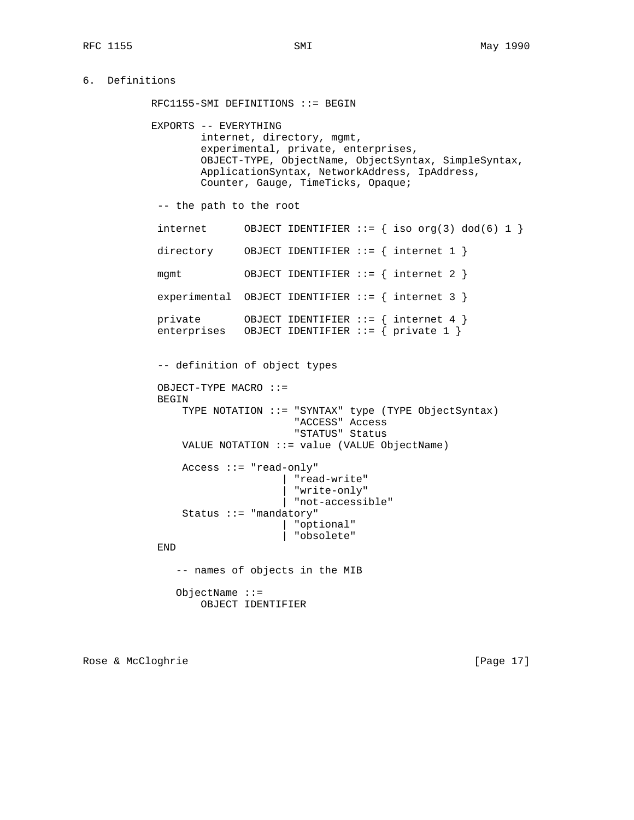```
6. Definitions
```
 RFC1155-SMI DEFINITIONS ::= BEGIN EXPORTS -- EVERYTHING internet, directory, mgmt, experimental, private, enterprises, OBJECT-TYPE, ObjectName, ObjectSyntax, SimpleSyntax, ApplicationSyntax, NetworkAddress, IpAddress, Counter, Gauge, TimeTicks, Opaque; -- the path to the root internet OBJECT IDENTIFIER  $::=$  { iso  $org(3)$  dod(6) 1 } directory OBJECT IDENTIFIER ::= { internet 1 } mgmt OBJECT IDENTIFIER ::= { internet 2 } experimental OBJECT IDENTIFIER  $::= \{$  internet 3  $\}$  private OBJECT IDENTIFIER ::= { internet 4 } enterprises OBJECT IDENTIFIER ::= { private 1 } -- definition of object types OBJECT-TYPE MACRO ::= BEGIN TYPE NOTATION ::= "SYNTAX" type (TYPE ObjectSyntax) "ACCESS" Access "STATUS" Status VALUE NOTATION ::= value (VALUE ObjectName) Access ::= "read-only" | "read-write" | "write-only" | "not-accessible" Status ::= "mandatory" | "optional" | "obsolete" END -- names of objects in the MIB ObjectName ::= OBJECT IDENTIFIER

Rose & McCloghrie [Page 17]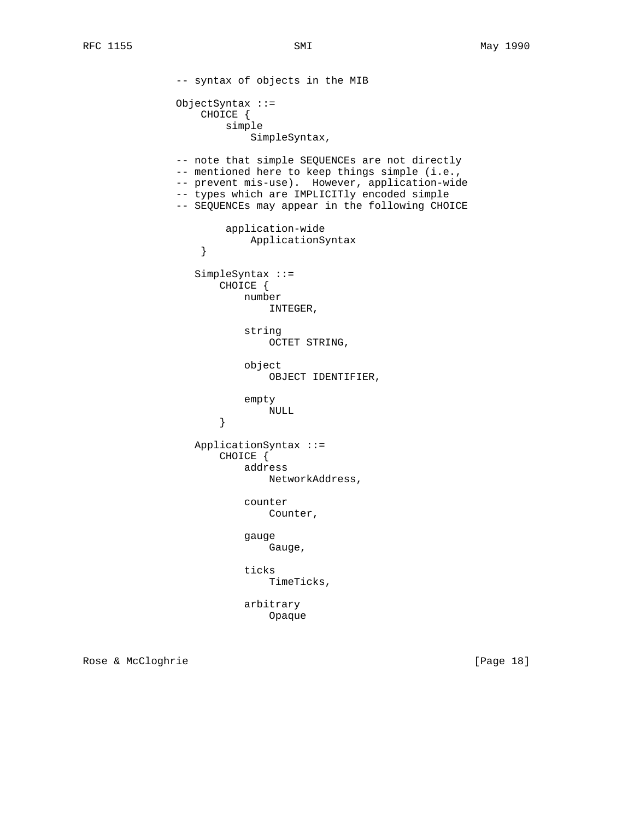-- syntax of objects in the MIB ObjectSyntax ::= CHOICE { simple SimpleSyntax, -- note that simple SEQUENCEs are not directly -- mentioned here to keep things simple (i.e., -- prevent mis-use). However, application-wide -- types which are IMPLICITly encoded simple -- SEQUENCEs may appear in the following CHOICE application-wide ApplicationSyntax<br>} } SimpleSyntax ::= CHOICE { number INTEGER, string OCTET STRING, object OBJECT IDENTIFIER, empty  ${\tt NULL}$  } ApplicationSyntax ::= CHOICE { address NetworkAddress, counter Counter, gauge Gauge, ticks TimeTicks, arbitrary Opaque

Rose & McCloghrie [Page 18]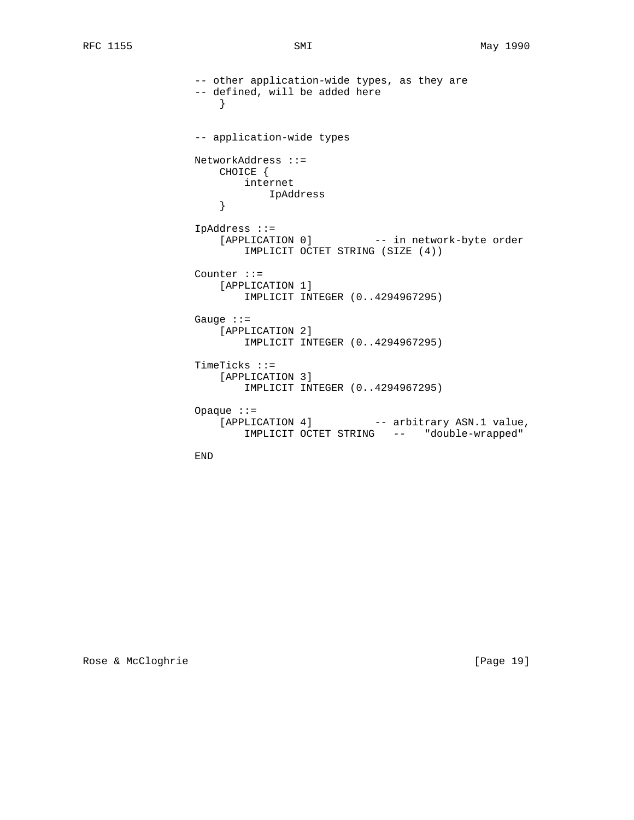```
 -- other application-wide types, as they are
                -- defined, will be added here
}
                -- application-wide types
                NetworkAddress ::=
                   CHOICE {
                      internet
                    IpAddress
}
                IpAddress ::=
                    [APPLICATION 0] -- in network-byte order
                       IMPLICIT OCTET STRING (SIZE (4))
                Counter ::=
                   [APPLICATION 1]
                       IMPLICIT INTEGER (0..4294967295)
                Gauge ::=
                    [APPLICATION 2]
                       IMPLICIT INTEGER (0..4294967295)
                TimeTicks ::=
                    [APPLICATION 3]
                       IMPLICIT INTEGER (0..4294967295)
                Opaque ::=
                   [APPLICATION 4] -- arbitrary ASN.1 value,
                       IMPLICIT OCTET STRING -- "double-wrapped"
```
END

Rose & McCloghrie [Page 19]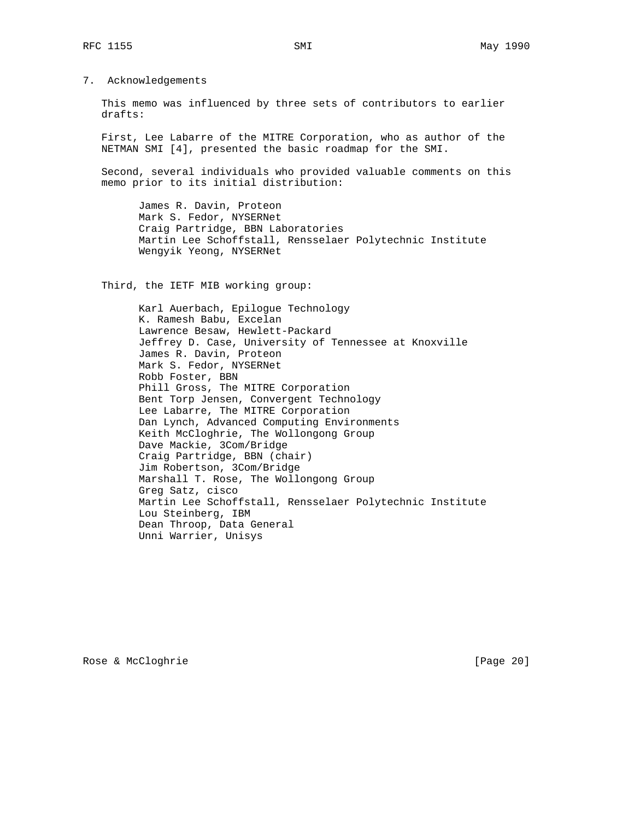7. Acknowledgements

 This memo was influenced by three sets of contributors to earlier drafts:

 First, Lee Labarre of the MITRE Corporation, who as author of the NETMAN SMI [4], presented the basic roadmap for the SMI.

 Second, several individuals who provided valuable comments on this memo prior to its initial distribution:

 James R. Davin, Proteon Mark S. Fedor, NYSERNet Craig Partridge, BBN Laboratories Martin Lee Schoffstall, Rensselaer Polytechnic Institute Wengyik Yeong, NYSERNet

Third, the IETF MIB working group:

 Karl Auerbach, Epilogue Technology K. Ramesh Babu, Excelan Lawrence Besaw, Hewlett-Packard Jeffrey D. Case, University of Tennessee at Knoxville James R. Davin, Proteon Mark S. Fedor, NYSERNet Robb Foster, BBN Phill Gross, The MITRE Corporation Bent Torp Jensen, Convergent Technology Lee Labarre, The MITRE Corporation Dan Lynch, Advanced Computing Environments Keith McCloghrie, The Wollongong Group Dave Mackie, 3Com/Bridge Craig Partridge, BBN (chair) Jim Robertson, 3Com/Bridge Marshall T. Rose, The Wollongong Group Greg Satz, cisco Martin Lee Schoffstall, Rensselaer Polytechnic Institute Lou Steinberg, IBM Dean Throop, Data General Unni Warrier, Unisys

Rose & McCloghrie [Page 20]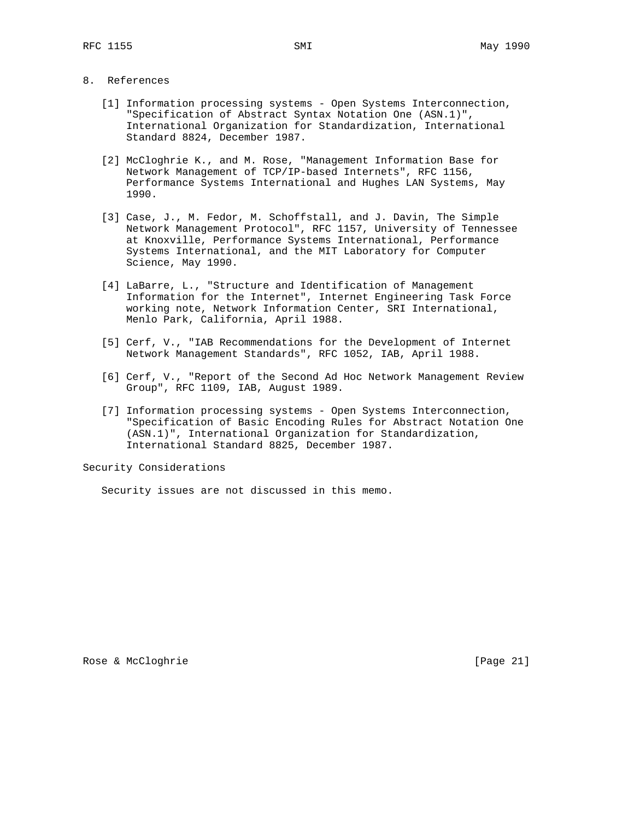# 8. References

- [1] Information processing systems Open Systems Interconnection, "Specification of Abstract Syntax Notation One (ASN.1)", International Organization for Standardization, International Standard 8824, December 1987.
- [2] McCloghrie K., and M. Rose, "Management Information Base for Network Management of TCP/IP-based Internets", RFC 1156, Performance Systems International and Hughes LAN Systems, May 1990.
- [3] Case, J., M. Fedor, M. Schoffstall, and J. Davin, The Simple Network Management Protocol", RFC 1157, University of Tennessee at Knoxville, Performance Systems International, Performance Systems International, and the MIT Laboratory for Computer Science, May 1990.
- [4] LaBarre, L., "Structure and Identification of Management Information for the Internet", Internet Engineering Task Force working note, Network Information Center, SRI International, Menlo Park, California, April 1988.
- [5] Cerf, V., "IAB Recommendations for the Development of Internet Network Management Standards", RFC 1052, IAB, April 1988.
- [6] Cerf, V., "Report of the Second Ad Hoc Network Management Review Group", RFC 1109, IAB, August 1989.
- [7] Information processing systems Open Systems Interconnection, "Specification of Basic Encoding Rules for Abstract Notation One (ASN.1)", International Organization for Standardization, International Standard 8825, December 1987.

Security Considerations

Security issues are not discussed in this memo.

Rose & McCloghrie [Page 21]